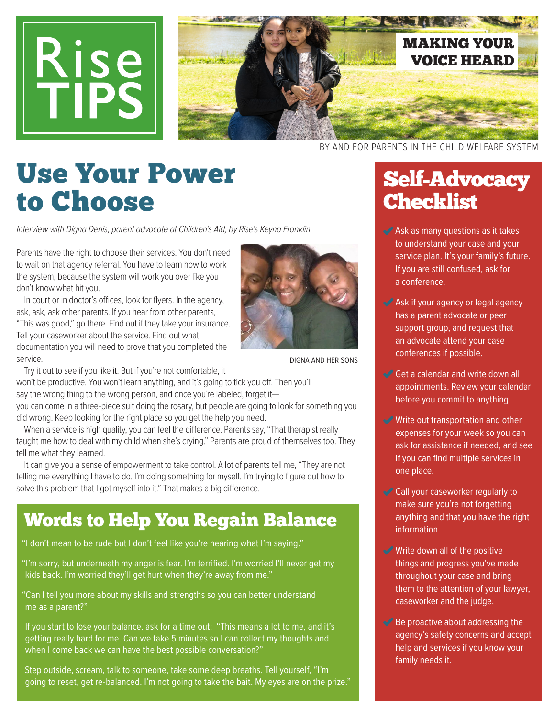



Use Your Power to Choose

Interview with Digna Denis, parent advocate at Children's Aid, by Rise's Keyna Franklin

Parents have the right to choose their services. You don't need to wait on that agency referral. You have to learn how to work the system, because the system will work you over like you don't know what hit you.

In court or in doctor's offices, look for flyers. In the agency, ask, ask, ask other parents. If you hear from other parents, "This was good," go there. Find out if they take your insurance. Tell your caseworker about the service. Find out what documentation you will need to prove that you completed the service.



DIGNA AND HER SONS

Try it out to see if you like it. But if you're not comfortable, it

won't be productive. You won't learn anything, and it's going to tick you of. Then you'll say the wrong thing to the wrong person, and once you're labeled, forget it-

you can come in a three-piece suit doing the rosary, but people are going to look for something you did wrong. Keep looking for the right place so you get the help you need.

When a service is high quality, you can feel the difference. Parents say, "That therapist really taught me how to deal with my child when she's crying." Parents are proud of themselves too. They tell me what they learned.

It can give you a sense of empowerment to take control. A lot of parents tell me, "They are not telling me everything I have to do. I'm doing something for myself. I'm trying to figure out how to solve this problem that I got myself into it." That makes a big difference.

### Words to Help You Regain Balance

"I don't mean to be rude but I don't feel like you're hearing what I'm saying."

"I'm sorry, but underneath my anger is fear. I'm terrified. I'm worried I'll never get my kids back. I'm worried they'll get hurt when they're away from me."

"Can I tell you more about my skills and strengths so you can better understand me as a parent?"

If you start to lose your balance, ask for a time out: "This means a lot to me, and it's getting really hard for me. Can we take 5 minutes so I can collect my thoughts and when I come back we can have the best possible conversation?"

Step outside, scream, talk to someone, take some deep breaths. Tell yourself, "I'm going to reset, get re-balanced. I'm not going to take the bait. My eyes are on the prize."

BY AND FOR PARENTS IN THE CHILD WELFARE SYSTEM

## Self-Advocacy **Checklist**

- Ask as many questions as it takes to understand your case and your service plan. It's your family's future. If you are still confused, ask for a conference.
- Ask if your agency or legal agency has a parent advocate or peer support group, and request that an advocate attend your case conferences if possible.
- Get a calendar and write down all appointments. Review your calendar before you commit to anything.
- Write out transportation and other expenses for your week so you can ask for assistance if needed, and see if you can find multiple services in one place.
- Call your caseworker regularly to make sure you're not forgetting anything and that you have the right information.
- Write down all of the positive things and progress you've made throughout your case and bring them to the attention of your lawyer, caseworker and the judge.
- $\blacktriangleright$  Be proactive about addressing the agency's safety concerns and accept help and services if you know your family needs it.